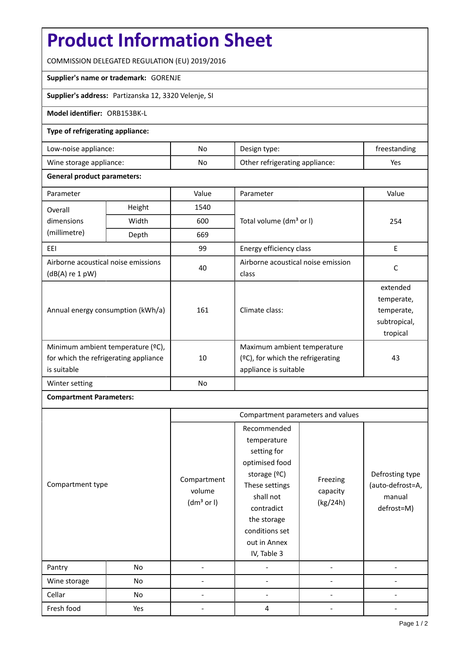# **Product Information Sheet**

COMMISSION DELEGATED REGULATION (EU) 2019/2016

#### **Supplier's name or trademark:** GORENJE

**Supplier's address:** Partizanska 12, 3320 Velenje, SI

## **Model identifier:** ORB153BK-L

#### **Type of refrigerating appliance:**

| Low-noise appliance:    | No | Design type:                   | freestanding |
|-------------------------|----|--------------------------------|--------------|
| Wine storage appliance: | No | Other refrigerating appliance: | Yes          |

#### **General product parameters:**

| Parameter                                                                                 |        | Value | Parameter                                                                                    | Value                                                            |
|-------------------------------------------------------------------------------------------|--------|-------|----------------------------------------------------------------------------------------------|------------------------------------------------------------------|
| Overall                                                                                   | Height | 1540  |                                                                                              | 254                                                              |
| dimensions                                                                                | Width  | 600   | Total volume (dm <sup>3</sup> or I)                                                          |                                                                  |
| (millimetre)                                                                              | Depth  | 669   |                                                                                              |                                                                  |
| EEI                                                                                       |        | 99    | Energy efficiency class                                                                      | E                                                                |
| Airborne acoustical noise emissions<br>$(dB(A)$ re 1 pW)                                  |        | 40    | Airborne acoustical noise emission<br>class                                                  | C                                                                |
| Annual energy consumption (kWh/a)                                                         |        | 161   | Climate class:                                                                               | extended<br>temperate,<br>temperate,<br>subtropical,<br>tropical |
| Minimum ambient temperature (°C),<br>for which the refrigerating appliance<br>is suitable |        | 10    | Maximum ambient temperature<br>$(2C)$ , for which the refrigerating<br>appliance is suitable | 43                                                               |
| Winter setting                                                                            |        | No    |                                                                                              |                                                                  |

### **Compartment Parameters:**

|                  |     | Compartment parameters and values               |                                                                                                                                                                                          |                                  |                                                             |
|------------------|-----|-------------------------------------------------|------------------------------------------------------------------------------------------------------------------------------------------------------------------------------------------|----------------------------------|-------------------------------------------------------------|
| Compartment type |     | Compartment<br>volume<br>(dm <sup>3</sup> or I) | Recommended<br>temperature<br>setting for<br>optimised food<br>storage (ºC)<br>These settings<br>shall not<br>contradict<br>the storage<br>conditions set<br>out in Annex<br>IV, Table 3 | Freezing<br>capacity<br>(kg/24h) | Defrosting type<br>(auto-defrost=A,<br>manual<br>defrost=M) |
| Pantry           | No  |                                                 |                                                                                                                                                                                          |                                  |                                                             |
| Wine storage     | No  |                                                 |                                                                                                                                                                                          |                                  |                                                             |
| Cellar           | No  |                                                 |                                                                                                                                                                                          |                                  |                                                             |
| Fresh food       | Yes |                                                 | 4                                                                                                                                                                                        |                                  |                                                             |